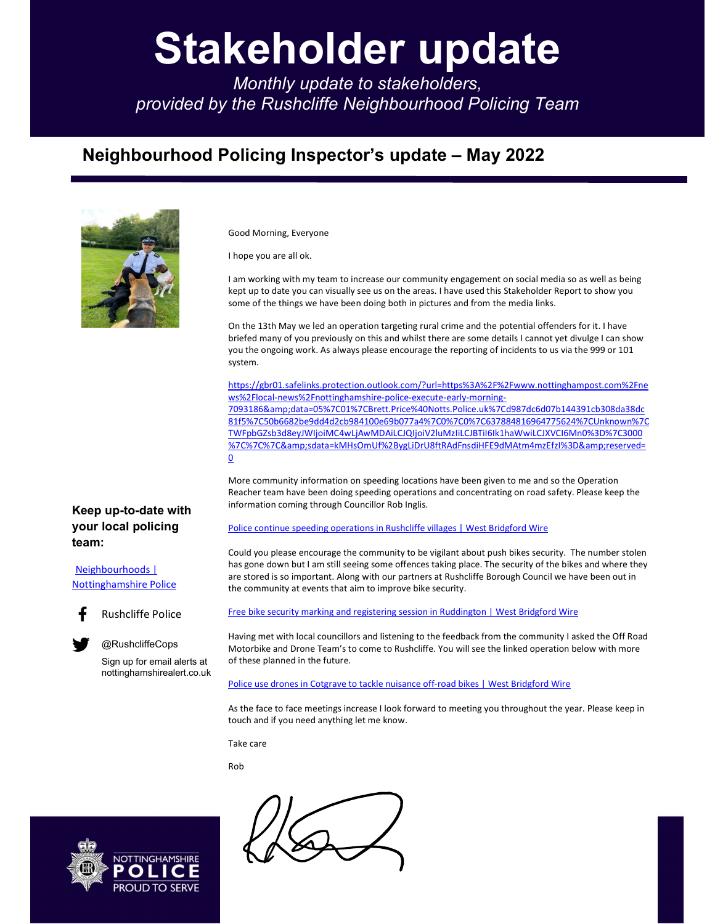# Stakeholder update

Monthly update to stakeholders, provided by the Rushcliffe Neighbourhood Policing Team

### Neighbourhood Policing Inspector's update – May 2022



Good Morning, Everyone

I hope you are all ok.

I am working with my team to increase our community engagement on social media so as well as being kept up to date you can visually see us on the areas. I have used this Stakeholder Report to show you some of the things we have been doing both in pictures and from the media links.

On the 13th May we led an operation targeting rural crime and the potential offenders for it. I have briefed many of you previously on this and whilst there are some details I cannot yet divulge I can show you the ongoing work. As always please encourage the reporting of incidents to us via the 999 or 101 system.

https://gbr01.safelinks.protection.outlook.com/?url=https%3A%2F%2Fwww.nottinghampost.com%2Fne ws%2Flocal-news%2Fnottinghamshire-police-execute-early-morning-7093186&data=05%7C01%7CBrett.Price%40Notts.Police.uk%7Cd987dc6d07b144391cb308da38dc 81f5%7C50b6682be9dd4d2cb984100e69b077a4%7C0%7C0%7C637884816964775624%7CUnknown%7C TWFpbGZsb3d8eyJWIjoiMC4wLjAwMDAiLCJQIjoiV2luMzIiLCJBTiI6Ik1haWwiLCJXVCI6Mn0%3D%7C3000 %7C%7C%7C&sdata=kMHsOmUf%2BygLiDrU8ftRAdFnsdiHFE9dMAtm4mzEfzI%3D&reserved= <u>0</u>

More community information on speeding locations have been given to me and so the Operation Reacher team have been doing speeding operations and concentrating on road safety. Please keep the information coming through Councillor Rob Inglis.

#### Police continue speeding operations in Rushcliffe villages | West Bridgford Wire

Could you please encourage the community to be vigilant about push bikes security. The number stolen has gone down but I am still seeing some offences taking place. The security of the bikes and where they are stored is so important. Along with our partners at Rushcliffe Borough Council we have been out in the community at events that aim to improve bike security.

## your local policing team:

Keep up-to-date with

Neighbourhoods | Nottinghamshire Police



Sign up for email alerts at nottinghamshirealert.co.uk

Rushcliffe Police **Free bike security marking and registering** session in Ruddington | West Bridgford Wire

@RushcliffeCops Motorbike and Drone Team's to come to Rushcliffe. You will see the linked operation below with more Having met with local councillors and listening to the feedback from the community I asked the Off Road of these planned in the future.

#### Police use drones in Cotgrave to tackle nuisance off-road bikes | West Bridgford Wire

As the face to face meetings increase I look forward to meeting you throughout the year. Please keep in touch and if you need anything let me know.

Take care

Rob



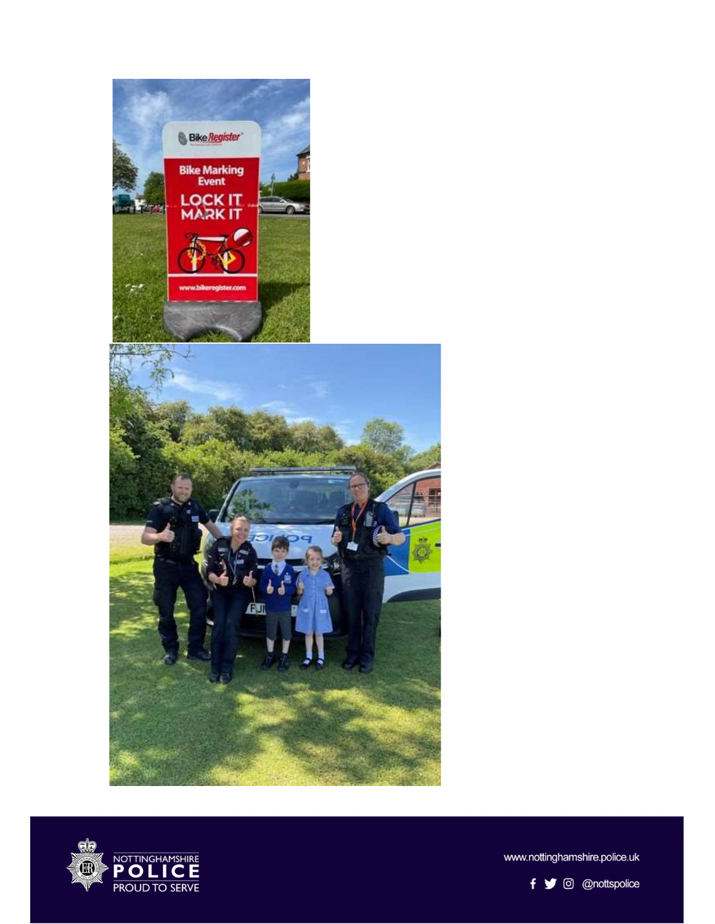





www.nottinghamshire.police.uk

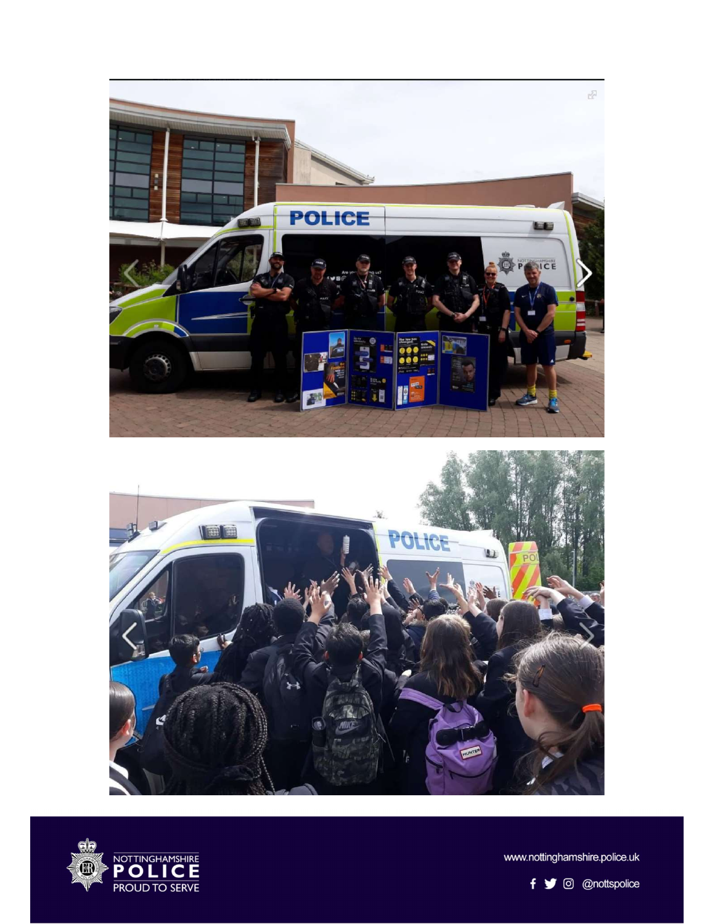



www.nottinghamshire.police.uk